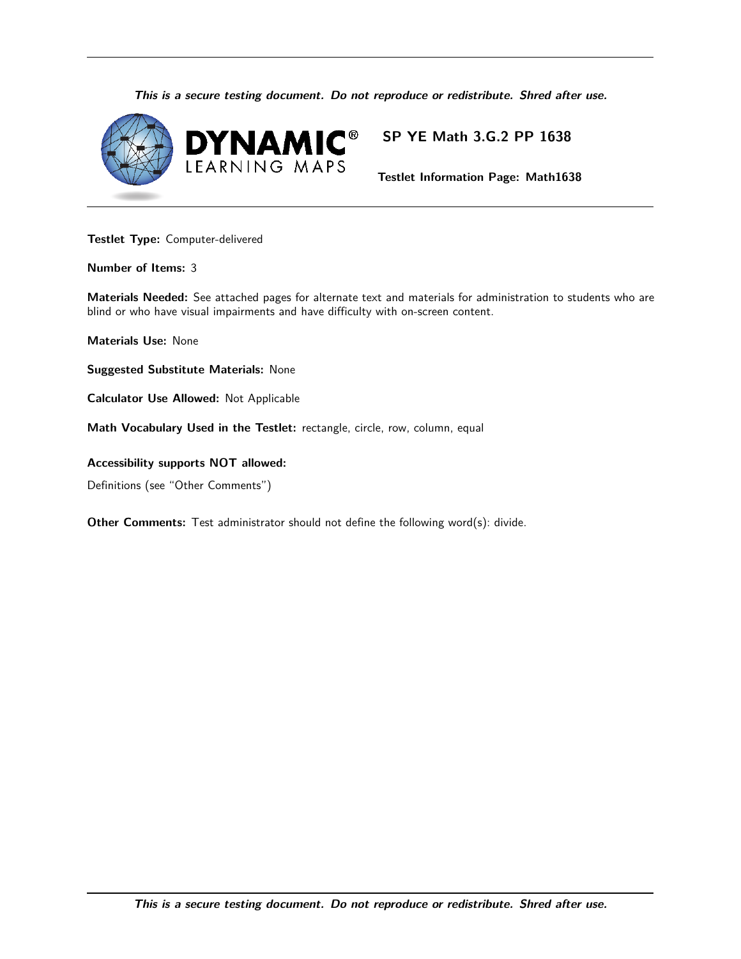**This is a secure testing document. Do not reproduce or redistribute. Shred after use.**



## **SP YE Math 3.G.2 PP 1638**

 **Testlet Information Page: Math1638**

 **Testlet Type:** Computer-delivered

 **Number of Items:** 3

 **Materials Needed:** See attached pages for alternate text and materials for administration to students who are blind or who have visual impairments and have difficulty with on-screen content. of Items: 3<br>Is Needed: See a<br>who have visual is<br>Is Use: None<br>ed Substitute M<br>or Use Allowed<br>ocabulary Used

 **Materials Use:** None

 **Suggested Substitute Materials:** None

 **Calculator Use Allowed:** Not Applicable

 **Math Vocabulary Used in the Testlet:** rectangle, circle, row, column, equal

 **Accessibility supports NOT allowed:**

Definitions (see "Other Comments")

**Other Comments:** Test administrator should not define the following word(s): divide.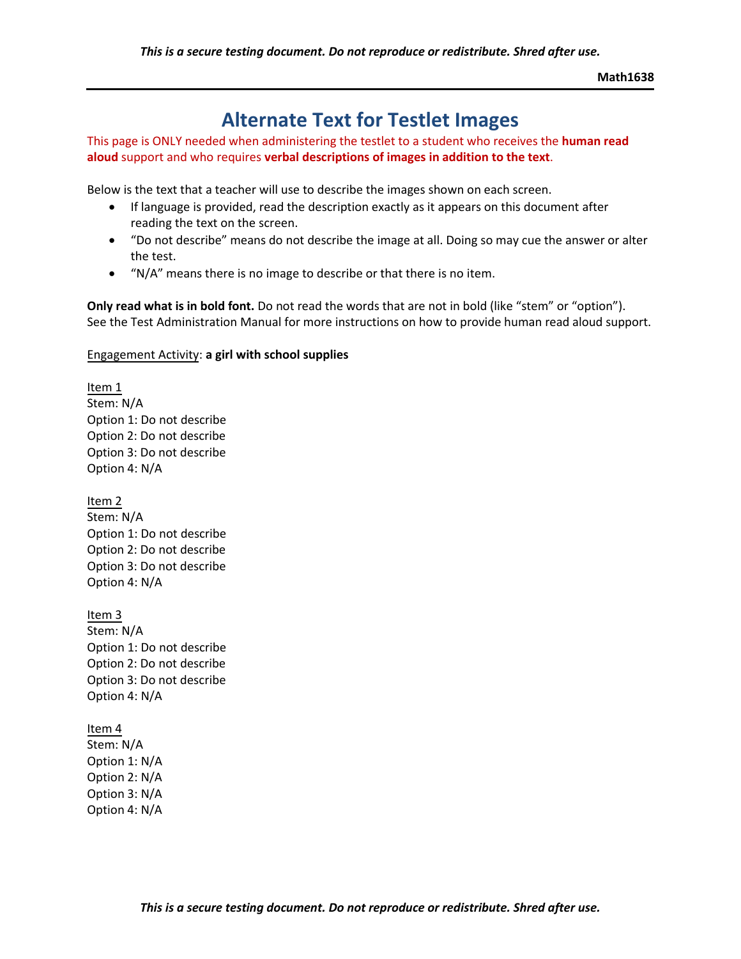**Math1638**

## **Alternate Text for Testlet Images**

This page is ONLY needed when administering the testlet to a student who receives the **human read aloud** support and who requires **verbal descriptions of images in addition to the text**.

Below is the text that a teacher will use to describe the images shown on each screen.

- If language is provided, read the description exactly as it appears on this document after reading the text on the screen.
- "Do not describe" means do not describe the image at all. Doing so may cue the answer or alter the test.
- "N/A" means there is no image to describe or that there is no item.

**Only read what is in bold font.** Do not read the words that are not in bold (like "stem" or "option"). See the Test Administration Manual for more instructions on how to provide human read aloud support.

#### Engagement Activity: **a girl with school supplies**

Item 1 Stem: N/A Option 1: Do not describe Option 2: Do not describe Option 3: Do not describe Option 4: N/A

Item 2 Stem: N/A Option 1: Do not describe Option 2: Do not describe Option 3: Do not describe Option 4: N/A

Item 3 Stem: N/A Option 1: Do not describe Option 2: Do not describe Option 3: Do not describe Option 4: N/A

 Option 1: N/A  Option 2: N/A Item 4 Stem: N/A Option 3: N/A Option 4: N/A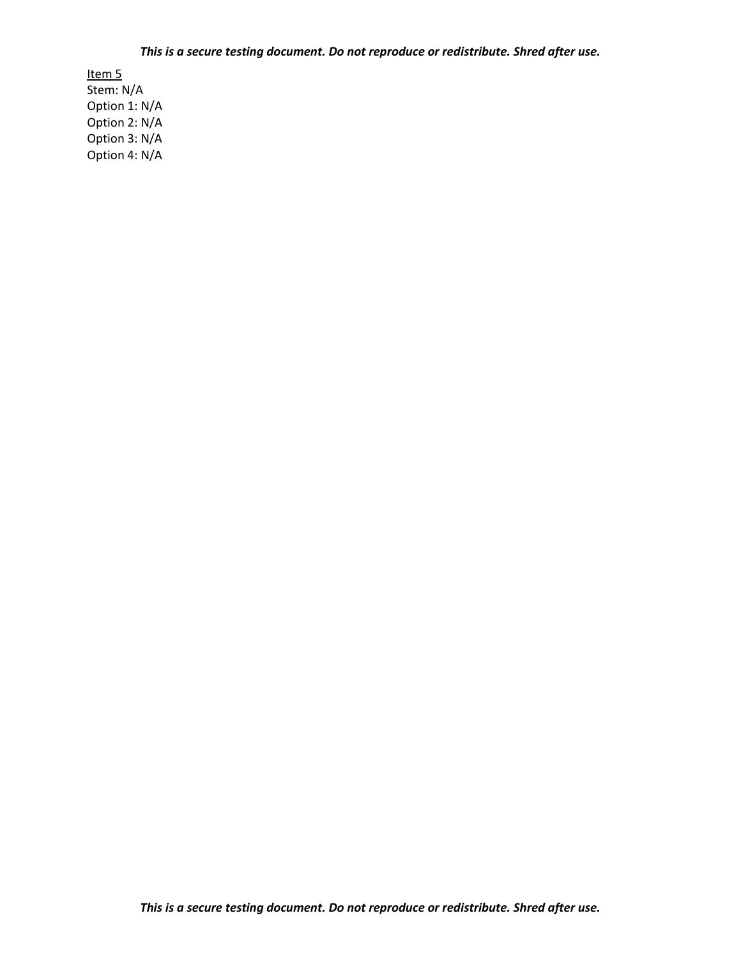Stem: N/A  Option 1: N/A  Option 2: N/A Item 5 Option 3: N/A Option 4: N/A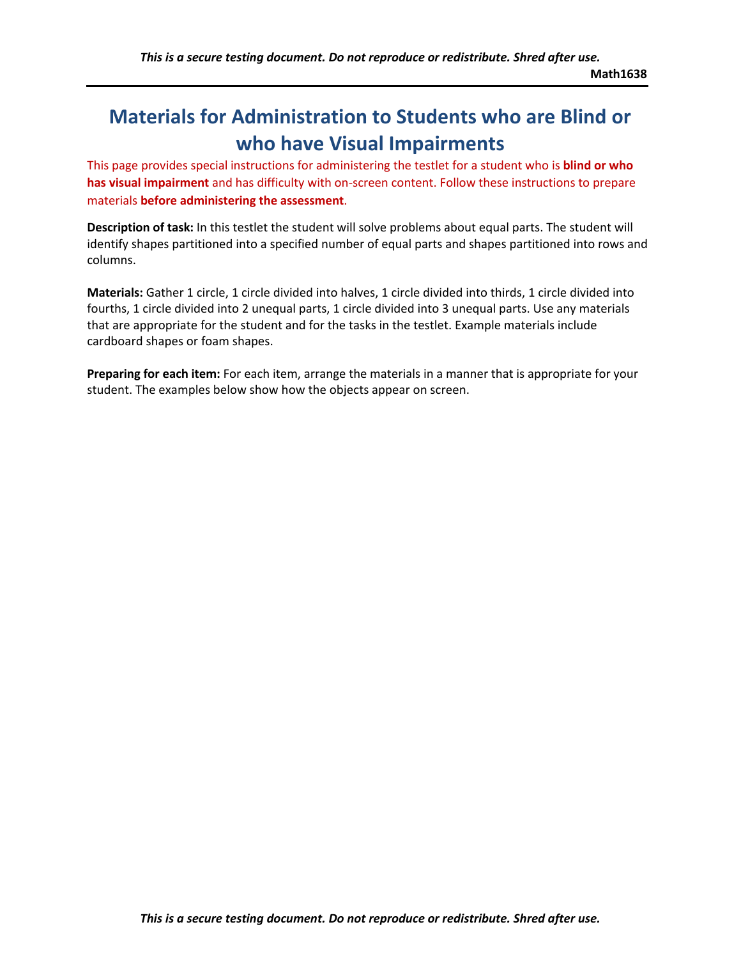# **Materials for Administration to Students who are Blind or who have Visual Impairments**

 This page provides special instructions for administering the testlet for a student who is **blind or who has visual impairment** and has difficulty with on-screen content. Follow these instructions to prepare materials **before administering the assessment**.

**Description of task:** In this testlet the student will solve problems about equal parts. The student will identify shapes partitioned into a specified number of equal parts and shapes partitioned into rows and columns.

**Materials:** Gather 1 circle, 1 circle divided into halves, 1 circle divided into thirds, 1 circle divided into fourths, 1 circle divided into 2 unequal parts, 1 circle divided into 3 unequal parts. Use any materials that are appropriate for the student and for the tasks in the testlet. Example materials include cardboard shapes or foam shapes.

**Preparing for each item:** For each item, arrange the materials in a manner that is appropriate for your student. The examples below show how the objects appear on screen.